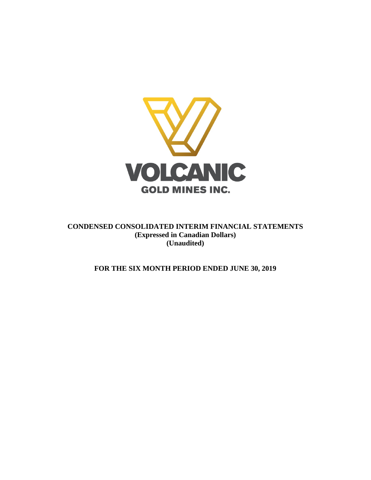

**CONDENSED CONSOLIDATED INTERIM FINANCIAL STATEMENTS (Expressed in Canadian Dollars) (Unaudited)**

**FOR THE SIX MONTH PERIOD ENDED JUNE 30, 2019**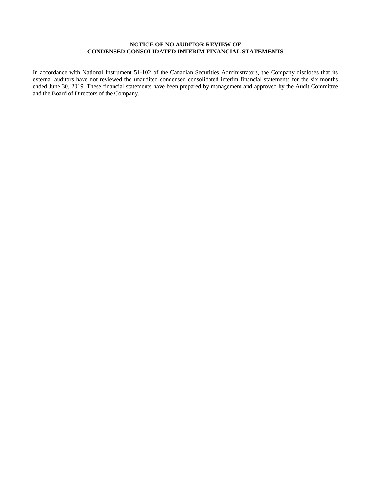# **NOTICE OF NO AUDITOR REVIEW OF CONDENSED CONSOLIDATED INTERIM FINANCIAL STATEMENTS**

In accordance with National Instrument 51-102 of the Canadian Securities Administrators, the Company discloses that its external auditors have not reviewed the unaudited condensed consolidated interim financial statements for the six months ended June 30, 2019. These financial statements have been prepared by management and approved by the Audit Committee and the Board of Directors of the Company.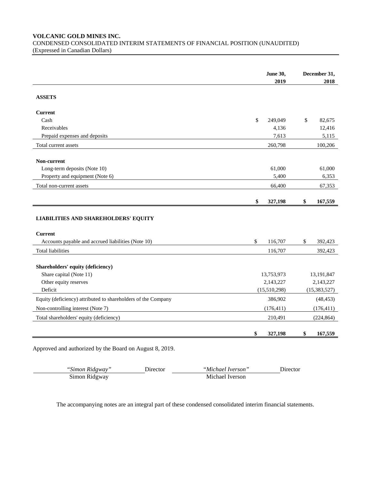# **VOLCANIC GOLD MINES INC.** CONDENSED CONSOLIDATED INTERIM STATEMENTS OF FINANCIAL POSITION (UNAUDITED) (Expressed in Canadian Dollars)

|                                                               | <b>June 30,</b> | December 31,    |
|---------------------------------------------------------------|-----------------|-----------------|
|                                                               | 2019            | 2018            |
| <b>ASSETS</b>                                                 |                 |                 |
| <b>Current</b>                                                |                 |                 |
| Cash                                                          | \$<br>249,049   | \$<br>82.675    |
| Receivables                                                   | 4,136           | 12,416          |
| Prepaid expenses and deposits                                 | 7,613           | 5,115           |
| Total current assets                                          | 260,798         | 100,206         |
|                                                               |                 |                 |
| Non-current                                                   |                 |                 |
| Long-term deposits (Note 10)                                  | 61,000<br>5,400 | 61,000<br>6,353 |
| Property and equipment (Note 6)<br>Total non-current assets   | 66,400          | 67,353          |
|                                                               |                 |                 |
|                                                               | \$<br>327,198   | \$<br>167,559   |
|                                                               |                 |                 |
| <b>LIABILITIES AND SHAREHOLDERS' EQUITY</b>                   |                 |                 |
| <b>Current</b>                                                |                 |                 |
| Accounts payable and accrued liabilities (Note 10)            | \$<br>116,707   | \$<br>392,423   |
| <b>Total liabilities</b>                                      | 116,707         | 392,423         |
|                                                               |                 |                 |
| Shareholders' equity (deficiency)<br>Share capital (Note 11)  | 13,753,973      | 13,191,847      |
| Other equity reserves                                         | 2,143,227       | 2,143,227       |
| Deficit                                                       | (15,510,298)    | (15, 383, 527)  |
| Equity (deficiency) attributed to shareholders of the Company | 386,902         | (48, 453)       |
| Non-controlling interest (Note 7)                             | (176, 411)      | (176, 411)      |
|                                                               |                 |                 |
| Total shareholders' equity (deficiency)                       | 210,491         | (224, 864)      |
|                                                               | \$<br>327,198   | \$<br>167,559   |

Approved and authorized by the Board on August 8, 2019.

J.

| "Simon Ridgway" | Jirector | "Michael Iverson" | <b>Jirector</b> |
|-----------------|----------|-------------------|-----------------|
| Simon Ridgway   |          | Michael Iverson   |                 |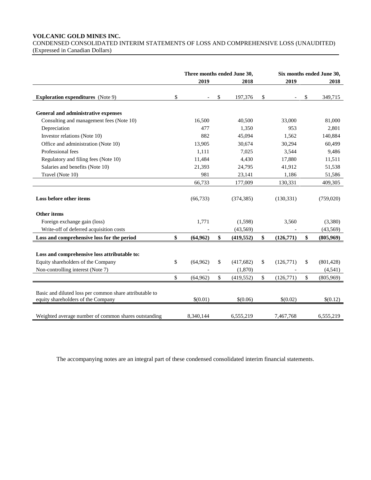# **VOLCANIC GOLD MINES INC.**

CONDENSED CONSOLIDATED INTERIM STATEMENTS OF LOSS AND COMPREHENSIVE LOSS (UNAUDITED) (Expressed in Canadian Dollars)

|                                                                                               | Three months ended June 30, |              |            |                 | Six months ended June 30, |
|-----------------------------------------------------------------------------------------------|-----------------------------|--------------|------------|-----------------|---------------------------|
|                                                                                               | 2019                        |              | 2018       | 2019            | 2018                      |
| <b>Exploration expenditures</b> (Note 9)                                                      | \$                          | \$           | 197,376    | \$              | \$<br>349,715             |
| General and administrative expenses                                                           |                             |              |            |                 |                           |
| Consulting and management fees (Note 10)                                                      | 16,500                      |              | 40,500     | 33,000          | 81,000                    |
| Depreciation                                                                                  | 477                         |              | 1,350      | 953             | 2,801                     |
| Investor relations (Note 10)                                                                  | 882                         |              | 45,094     | 1,562           | 140,884                   |
| Office and administration (Note 10)                                                           | 13,905                      |              | 30,674     | 30,294          | 60,499                    |
| Professional fees                                                                             | 1,111                       |              | 7,025      | 3,544           | 9,486                     |
| Regulatory and filing fees (Note 10)                                                          | 11,484                      |              | 4,430      | 17,880          | 11,511                    |
| Salaries and benefits (Note 10)                                                               | 21,393                      |              | 24,795     | 41,912          | 51,538                    |
| Travel (Note 10)                                                                              | 981                         |              | 23,141     | 1,186           | 51,586                    |
|                                                                                               | 66,733                      |              | 177,009    | 130,331         | 409,305                   |
| Loss before other items                                                                       | (66, 733)                   |              | (374, 385) | (130, 331)      | (759,020)                 |
| <b>Other items</b>                                                                            |                             |              |            |                 |                           |
| Foreign exchange gain (loss)                                                                  | 1,771                       |              | (1,598)    | 3,560           | (3,380)                   |
| Write-off of deferred acquisition costs                                                       |                             |              | (43, 569)  |                 | (43, 569)                 |
| Loss and comprehensive loss for the period                                                    | \$<br>(64, 962)             | \$           | (419, 552) | \$<br>(126,771) | \$<br>(805,969)           |
| Loss and comprehensive loss attributable to:                                                  |                             |              |            |                 |                           |
| Equity shareholders of the Company                                                            | \$<br>(64,962)              | \$           | (417,682)  | \$<br>(126,771) | \$<br>(801, 428)          |
| Non-controlling interest (Note 7)                                                             |                             |              | (1,870)    |                 | (4, 541)                  |
|                                                                                               | \$<br>(64, 962)             | $\mathbb{S}$ | (419, 552) | \$<br>(126,771) | \$<br>(805,969)           |
| Basic and diluted loss per common share attributable to<br>equity shareholders of the Company | \$(0.01)                    |              | \$(0.06)   | \$(0.02)        | \$(0.12)                  |
| Weighted average number of common shares outstanding                                          | 8.340.144                   |              | 6.555.219  | 7,467,768       | 6,555,219                 |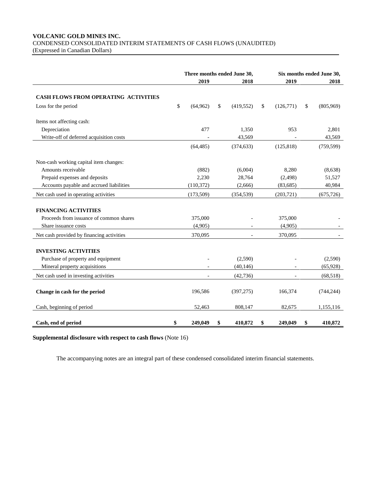# **VOLCANIC GOLD MINES INC.** CONDENSED CONSOLIDATED INTERIM STATEMENTS OF CASH FLOWS (UNAUDITED)

(Expressed in Canadian Dollars)

|                                             | Three months ended June 30, |            |    |                          |    | Six months ended June 30, |    |            |  |
|---------------------------------------------|-----------------------------|------------|----|--------------------------|----|---------------------------|----|------------|--|
|                                             |                             | 2019       |    | 2018                     |    | 2019                      |    | 2018       |  |
| <b>CASH FLOWS FROM OPERATING ACTIVITIES</b> |                             |            |    |                          |    |                           |    |            |  |
| Loss for the period                         | \$                          | (64, 962)  | \$ | (419, 552)               | \$ | (126,771)                 | \$ | (805,969)  |  |
| Items not affecting cash:                   |                             |            |    |                          |    |                           |    |            |  |
| Depreciation                                |                             | 477        |    | 1,350                    |    | 953                       |    | 2,801      |  |
| Write-off of deferred acquisition costs     |                             |            |    | 43,569                   |    |                           |    | 43,569     |  |
|                                             |                             | (64, 485)  |    | (374, 633)               |    | (125, 818)                |    | (759, 599) |  |
| Non-cash working capital item changes:      |                             |            |    |                          |    |                           |    |            |  |
| Amounts receivable                          |                             | (882)      |    | (6,004)                  |    | 8,280                     |    | (8,638)    |  |
| Prepaid expenses and deposits               |                             | 2,230      |    | 28,764                   |    | (2, 498)                  |    | 51,527     |  |
| Accounts payable and accrued liabilities    |                             | (110, 372) |    | (2,666)                  |    | (83, 685)                 |    | 40,984     |  |
| Net cash used in operating activities       |                             | (173,509)  |    | (354, 539)               |    | (203,721)                 |    | (675, 726) |  |
| <b>FINANCING ACTIVITIES</b>                 |                             |            |    |                          |    |                           |    |            |  |
| Proceeds from issuance of common shares     |                             | 375,000    |    |                          |    | 375,000                   |    |            |  |
| Share issuance costs                        |                             | (4,905)    |    |                          |    | (4,905)                   |    |            |  |
| Net cash provided by financing activities   |                             | 370,095    |    | $\overline{\phantom{a}}$ |    | 370,095                   |    |            |  |
|                                             |                             |            |    |                          |    |                           |    |            |  |
| <b>INVESTING ACTIVITIES</b>                 |                             |            |    |                          |    |                           |    |            |  |
| Purchase of property and equipment          |                             |            |    | (2,590)                  |    |                           |    | (2,590)    |  |
| Mineral property acquisitions               |                             |            |    | (40, 146)                |    |                           |    | (65, 928)  |  |
| Net cash used in investing activities       |                             |            |    | (42, 736)                |    |                           |    | (68,518)   |  |
| Change in cash for the period               |                             | 196,586    |    | (397, 275)               |    | 166,374                   |    | (744, 244) |  |
| Cash, beginning of period                   |                             | 52,463     |    | 808,147                  |    | 82,675                    |    | 1,155,116  |  |
| Cash, end of period                         | \$                          | 249,049    | S  | 410,872                  | \$ | 249,049                   | \$ | 410,872    |  |

**Supplemental disclosure with respect to cash flows** (Note 16)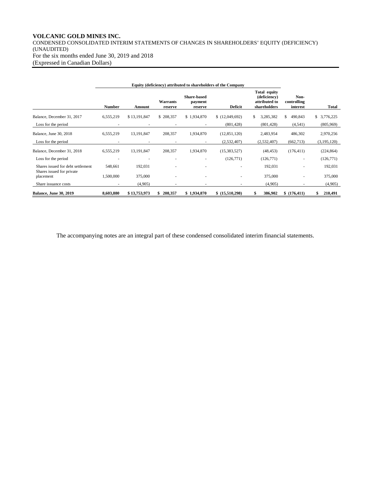# **VOLCANIC GOLD MINES INC.**

CONDENSED CONSOLIDATED INTERIM STATEMENTS OF CHANGES IN SHAREHOLDERS' EQUITY (DEFICIENCY) (UNAUDITED) For the six months ended June 30, 2019 and 2018 (Expressed in Canadian Dollars)

| Equity (deficiency) attributed to shareholders of the Company  |           |              |                     |                                          |                 |                                                               |                                 |               |
|----------------------------------------------------------------|-----------|--------------|---------------------|------------------------------------------|-----------------|---------------------------------------------------------------|---------------------------------|---------------|
|                                                                | Number    | Amount       | Warrants<br>reserve | <b>Share-based</b><br>payment<br>reserve | <b>Deficit</b>  | Total equity<br>(deficiency)<br>attributed to<br>shareholders | Non-<br>controlling<br>interest | Total         |
| Balance, December 31, 2017                                     | 6,555,219 | \$13,191,847 | \$208,357           | \$1,934,870                              | (12,049,692)    | \$<br>3,285,382                                               | \$<br>490,843                   | \$3,776,225   |
| Loss for the period                                            |           |              |                     |                                          | (801, 428)      | (801, 428)                                                    | (4,541)                         | (805,969)     |
| Balance, June 30, 2018                                         | 6,555,219 | 13, 191, 847 | 208,357             | 1,934,870                                | (12, 851, 120)  | 2,483,954                                                     | 486,302                         | 2,970,256     |
| Loss for the period                                            | ٠         | ٠            | ٠                   | ٠                                        | (2,532,407)     | (2,532,407)                                                   | (662,713)                       | (3, 195, 120) |
| Balance, December 31, 2018                                     | 6,555,219 | 13, 191, 847 | 208,357             | 1,934,870                                | (15, 383, 527)  | (48, 453)                                                     | (176, 411)                      | (224, 864)    |
| Loss for the period                                            | ٠         |              |                     |                                          | (126, 771)      | (126,771)                                                     | $\sim$                          | (126,771)     |
| Shares issued for debt settlement<br>Shares issued for private | 548,661   | 192,031      |                     |                                          |                 | 192,031                                                       |                                 | 192,031       |
| placement                                                      | 1,500,000 | 375,000      |                     |                                          | $\overline{a}$  | 375,000                                                       |                                 | 375,000       |
| Share issuance costs                                           |           | (4,905)      |                     |                                          |                 | (4,905)                                                       |                                 | (4,905)       |
| <b>Balance, June 30, 2019</b>                                  | 8,603,880 | \$13,753,973 | 208,357             | \$1,934,870                              | \$ (15,510,298) | 386,902                                                       | \$(176, 411)                    | 210,491       |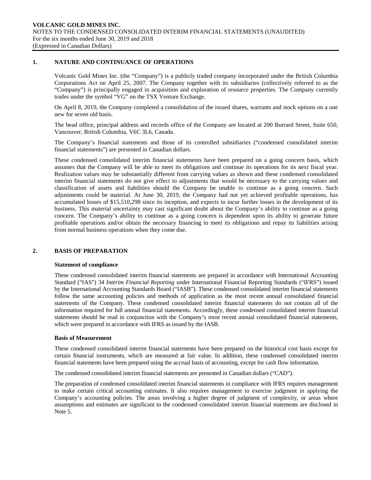#### **1. NATURE AND CONTINUANCE OF OPERATIONS**

Volcanic Gold Mines Inc. (the "Company") is a publicly traded company incorporated under the British Columbia Corporations Act on April 25, 2007. The Company together with its subsidiaries (collectively referred to as the "Company") is principally engaged in acquisition and exploration of resource properties. The Company currently trades under the symbol "VG" on the TSX Venture Exchange.

On April 8, 2019, the Company completed a consolidation of the issued shares, warrants and stock options on a one new for seven old basis.

The head office, principal address and records office of the Company are located at 200 Burrard Street, Suite 650, Vancouver, British Columbia, V6C 3L6, Canada.

The Company's financial statements and those of its controlled subsidiaries ("condensed consolidated interim financial statements") are presented in Canadian dollars.

These condensed consolidated interim financial statements have been prepared on a going concern basis, which assumes that the Company will be able to meet its obligations and continue its operations for its next fiscal year. Realization values may be substantially different from carrying values as shown and these condensed consolidated interim financial statements do not give effect to adjustments that would be necessary to the carrying values and classification of assets and liabilities should the Company be unable to continue as a going concern. Such adjustments could be material. At June 30, 2019, the Company had not yet achieved profitable operations, has accumulated losses of \$15,510,298 since its inception, and expects to incur further losses in the development of its business. This material uncertainty may cast significant doubt about the Company's ability to continue as a going concern. The Company's ability to continue as a going concern is dependent upon its ability to generate future profitable operations and/or obtain the necessary financing to meet its obligations and repay its liabilities arising from normal business operations when they come due.

# **2. BASIS OF PREPARATION**

#### **Statement of compliance**

These condensed consolidated interim financial statements are prepared in accordance with International Accounting Standard ("IAS") 34 *Interim Financial Reporting* under International Financial Reporting Standards ("IFRS") issued by the International Accounting Standards Board ("IASB"). These condensed consolidated interim financial statements follow the same accounting policies and methods of application as the most recent annual consolidated financial statements of the Company. These condensed consolidated interim financial statements do not contain all of the information required for full annual financial statements. Accordingly, these condensed consolidated interim financial statements should be read in conjunction with the Company's most recent annual consolidated financial statements, which were prepared in accordance with IFRS as issued by the IASB.

#### **Basis of Measurement**

These condensed consolidated interim financial statements have been prepared on the historical cost basis except for certain financial instruments, which are measured at fair value. In addition, these condensed consolidated interim financial statements have been prepared using the accrual basis of accounting, except for cash flow information.

The condensed consolidated interim financial statements are presented in Canadian dollars ("CAD").

The preparation of condensed consolidated interim financial statements in compliance with IFRS requires management to make certain critical accounting estimates. It also requires management to exercise judgment in applying the Company's accounting policies. The areas involving a higher degree of judgment of complexity, or areas where assumptions and estimates are significant to the condensed consolidated interim financial statements are disclosed in Note 5.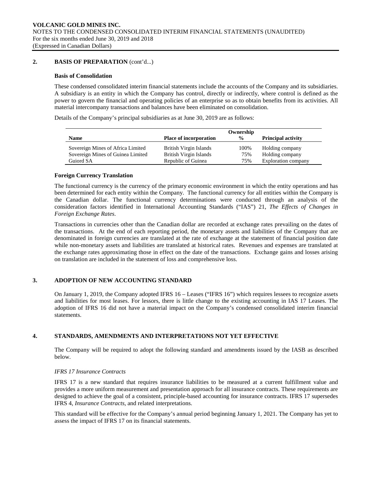# **2. BASIS OF PREPARATION** (cont'd...)

#### **Basis of Consolidation**

These condensed consolidated interim financial statements include the accounts of the Company and its subsidiaries. A subsidiary is an entity in which the Company has control, directly or indirectly, where control is defined as the power to govern the financial and operating policies of an enterprise so as to obtain benefits from its activities. All material intercompany transactions and balances have been eliminated on consolidation.

Details of the Company's principal subsidiaries as at June 30, 2019 are as follows:

|                                   |                               | Ownership     |                           |
|-----------------------------------|-------------------------------|---------------|---------------------------|
| <b>Name</b>                       | <b>Place of incorporation</b> | $\frac{0}{0}$ | <b>Principal activity</b> |
| Sovereign Mines of Africa Limited | British Virgin Islands        | 100%          | Holding company           |
| Sovereign Mines of Guinea Limited | British Virgin Islands        | 75%           | Holding company           |
| Guiord SA                         | Republic of Guinea            | 75%           | Exploration company       |

# **Foreign Currency Translation**

The functional currency is the currency of the primary economic environment in which the entity operations and has been determined for each entity within the Company. The functional currency for all entities within the Company is the Canadian dollar. The functional currency determinations were conducted through an analysis of the consideration factors identified in International Accounting Standards ("IAS") 21, *The Effects of Changes in Foreign Exchange Rates*.

Transactions in currencies other than the Canadian dollar are recorded at exchange rates prevailing on the dates of the transactions. At the end of each reporting period, the monetary assets and liabilities of the Company that are denominated in foreign currencies are translated at the rate of exchange at the statement of financial position date while non-monetary assets and liabilities are translated at historical rates. Revenues and expenses are translated at the exchange rates approximating those in effect on the date of the transactions. Exchange gains and losses arising on translation are included in the statement of loss and comprehensive loss.

# **3. ADOPTION OF NEW ACCOUNTING STANDARD**

On January 1, 2019, the Company adopted IFRS 16 – Leases ("IFRS 16") which requires lessees to recognize assets and liabilities for most leases. For lessors, there is little change to the existing accounting in IAS 17 Leases. The adoption of IFRS 16 did not have a material impact on the Company's condensed consolidated interim financial statements.

#### **4. STANDARDS, AMENDMENTS AND INTERPRETATIONS NOT YET EFFECTIVE**

The Company will be required to adopt the following standard and amendments issued by the IASB as described below.

# *IFRS 17 Insurance Contracts*

IFRS 17 is a new standard that requires insurance liabilities to be measured at a current fulfillment value and provides a more uniform measurement and presentation approach for all insurance contracts. These requirements are designed to achieve the goal of a consistent, principle-based accounting for insurance contracts. IFRS 17 supersedes IFRS 4, *Insurance Contracts*, and related interpretations.

This standard will be effective for the Company's annual period beginning January 1, 2021. The Company has yet to assess the impact of IFRS 17 on its financial statements.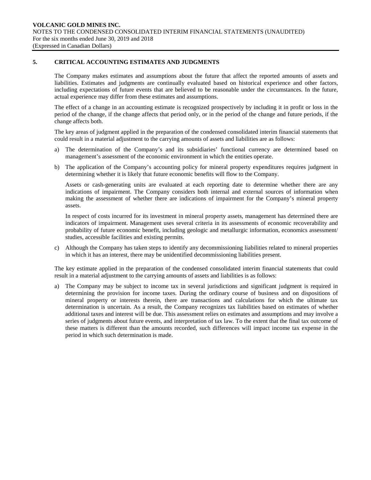# **5. CRITICAL ACCOUNTING ESTIMATES AND JUDGMENTS**

The Company makes estimates and assumptions about the future that affect the reported amounts of assets and liabilities. Estimates and judgments are continually evaluated based on historical experience and other factors, including expectations of future events that are believed to be reasonable under the circumstances. In the future, actual experience may differ from these estimates and assumptions.

The effect of a change in an accounting estimate is recognized prospectively by including it in profit or loss in the period of the change, if the change affects that period only, or in the period of the change and future periods, if the change affects both.

The key areas of judgment applied in the preparation of the condensed consolidated interim financial statements that could result in a material adjustment to the carrying amounts of assets and liabilities are as follows:

- a) The determination of the Company's and its subsidiaries' functional currency are determined based on management's assessment of the economic environment in which the entities operate.
- b) The application of the Company's accounting policy for mineral property expenditures requires judgment in determining whether it is likely that future economic benefits will flow to the Company.

Assets or cash-generating units are evaluated at each reporting date to determine whether there are any indications of impairment. The Company considers both internal and external sources of information when making the assessment of whether there are indications of impairment for the Company's mineral property assets.

In respect of costs incurred for its investment in mineral property assets, management has determined there are indicators of impairment. Management uses several criteria in its assessments of economic recoverability and probability of future economic benefit, including geologic and metallurgic information, economics assessment/ studies, accessible facilities and existing permits.

c) Although the Company has taken steps to identify any decommissioning liabilities related to mineral properties in which it has an interest, there may be unidentified decommissioning liabilities present.

The key estimate applied in the preparation of the condensed consolidated interim financial statements that could result in a material adjustment to the carrying amounts of assets and liabilities is as follows:

a) The Company may be subject to income tax in several jurisdictions and significant judgment is required in determining the provision for income taxes. During the ordinary course of business and on dispositions of mineral property or interests therein, there are transactions and calculations for which the ultimate tax determination is uncertain. As a result, the Company recognizes tax liabilities based on estimates of whether additional taxes and interest will be due. This assessment relies on estimates and assumptions and may involve a series of judgments about future events, and interpretation of tax law. To the extent that the final tax outcome of these matters is different than the amounts recorded, such differences will impact income tax expense in the period in which such determination is made.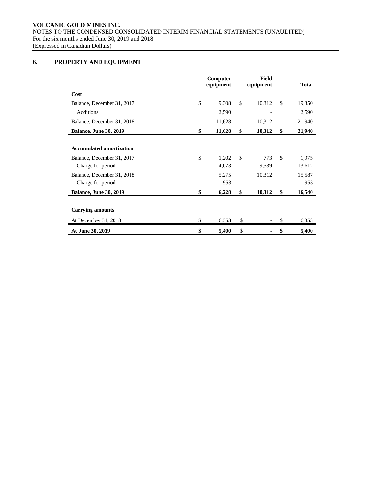**VOLCANIC GOLD MINES INC.** NOTES TO THE CONDENSED CONSOLIDATED INTERIM FINANCIAL STATEMENTS (UNAUDITED) For the six months ended June 30, 2019 and 2018 (Expressed in Canadian Dollars)

# **6. PROPERTY AND EQUIPMENT**

|                                                                                    | Computer<br>equipment | Field<br>equipment |               | <b>Total</b>    |
|------------------------------------------------------------------------------------|-----------------------|--------------------|---------------|-----------------|
| Cost                                                                               |                       |                    |               |                 |
| Balance, December 31, 2017                                                         | \$<br>9,308           | \$<br>10,312       | $\mathcal{S}$ | 19,350          |
| <b>Additions</b>                                                                   | 2,590                 |                    |               | 2,590           |
| Balance, December 31, 2018                                                         | 11,628                | 10,312             |               | 21,940          |
| <b>Balance, June 30, 2019</b>                                                      | \$<br>11,628          | \$<br>10,312       | \$            | 21,940          |
| <b>Accumulated amortization</b><br>Balance, December 31, 2017<br>Charge for period | \$<br>1,202<br>4,073  | \$<br>773<br>9,539 | \$            | 1,975<br>13,612 |
| Balance, December 31, 2018<br>Charge for period                                    | 5,275<br>953          | 10,312             |               | 15,587<br>953   |
| <b>Balance, June 30, 2019</b>                                                      | \$<br>6,228           | \$<br>10,312       | \$            | 16,540          |
| <b>Carrying amounts</b>                                                            |                       |                    |               |                 |
| At December 31, 2018                                                               | \$<br>6,353           | \$                 | \$            | 6,353           |
| At June 30, 2019                                                                   | \$<br>5,400           | \$                 | \$            | 5,400           |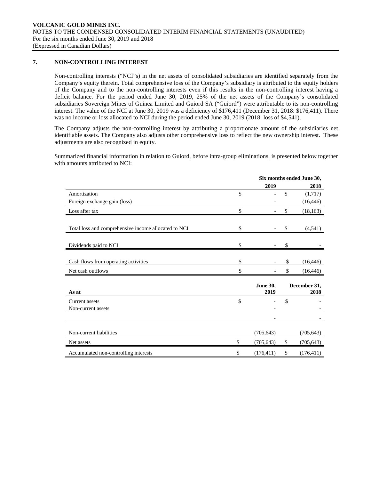# **7. NON-CONTROLLING INTEREST**

Non-controlling interests ("NCI"s) in the net assets of consolidated subsidiaries are identified separately from the Company's equity therein. Total comprehensive loss of the Company's subsidiary is attributed to the equity holders of the Company and to the non-controlling interests even if this results in the non-controlling interest having a deficit balance. For the period ended June 30, 2019, 25% of the net assets of the Company's consolidated subsidiaries Sovereign Mines of Guinea Limited and Guiord SA ("Guiord") were attributable to its non-controlling interest. The value of the NCI at June 30, 2019 was a deficiency of \$176,411 (December 31, 2018: \$176,411). There was no income or loss allocated to NCI during the period ended June 30, 2019 (2018: loss of \$4,541).

The Company adjusts the non-controlling interest by attributing a proportionate amount of the subsidiaries net identifiable assets. The Company also adjusts other comprehensive loss to reflect the new ownership interest. These adjustments are also recognized in equity.

Summarized financial information in relation to Guiord, before intra-group eliminations, is presented below together with amounts attributed to NCI:

|                                                      |                         |               | Six months ended June 30, |
|------------------------------------------------------|-------------------------|---------------|---------------------------|
|                                                      | 2019                    |               | 2018                      |
| Amortization                                         | \$                      | $\mathsf{\$}$ | (1,717)                   |
| Foreign exchange gain (loss)                         |                         |               | (16, 446)                 |
| Loss after tax                                       | \$                      | \$            | (18, 163)                 |
| Total loss and comprehensive income allocated to NCI | \$                      | \$            | (4, 541)                  |
| Dividends paid to NCI                                | \$                      | \$            |                           |
| Cash flows from operating activities                 | \$                      | \$            | (16, 446)                 |
| Net cash outflows                                    | \$                      | \$            | (16, 446)                 |
| As at                                                | <b>June 30,</b><br>2019 |               | December 31,<br>2018      |
| Current assets                                       | \$                      | \$            |                           |
| Non-current assets                                   |                         |               |                           |
|                                                      |                         |               |                           |
| Non-current liabilities                              | (705, 643)              |               | (705, 643)                |
| Net assets                                           | \$<br>(705, 643)        | \$            | (705, 643)                |
| Accumulated non-controlling interests                | \$<br>(176, 411)        | \$            | (176, 411)                |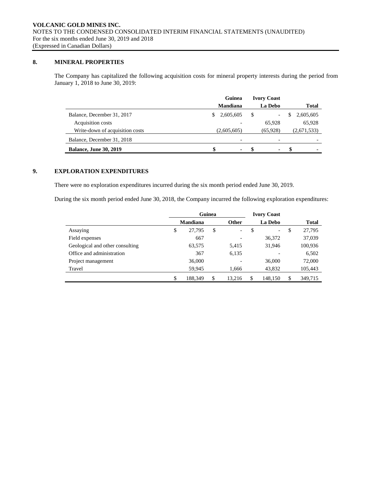# **8. MINERAL PROPERTIES**

The Company has capitalized the following acquisition costs for mineral property interests during the period from January 1, 2018 to June 30, 2019:

|                                 | Guinea          | <b>Ivory Coast</b> |                |
|---------------------------------|-----------------|--------------------|----------------|
|                                 | <b>Mandiana</b> | La Debo            | <b>Total</b>   |
| Balance, December 31, 2017      | 2,605,605<br>S. | \$<br>-            | 2,605,605<br>S |
| Acquisition costs               |                 | 65,928             | 65,928         |
| Write-down of acquisition costs | (2,605,605)     | (65, 928)          | (2,671,533)    |
| Balance, December 31, 2018      |                 |                    |                |
| <b>Balance, June 30, 2019</b>   | \$<br>$\sim$    | -8<br>۰.           | - 86<br>٠      |

# **9. EXPLORATION EXPENDITURES**

There were no exploration expenditures incurred during the six month period ended June 30, 2019.

During the six month period ended June 30, 2018, the Company incurred the following exploration expenditures:

|                                 | Guinea |                 |    |                          | <b>Ivory Coast</b>             |               |
|---------------------------------|--------|-----------------|----|--------------------------|--------------------------------|---------------|
|                                 |        | <b>Mandiana</b> |    | Other                    | La Debo                        | <b>Total</b>  |
| Assaying                        | \$     | 27,795          | \$ | $\overline{\phantom{0}}$ | \$<br>$\overline{\phantom{0}}$ | \$<br>27,795  |
| Field expenses                  |        | 667             |    |                          | 36,372                         | 37,039        |
| Geological and other consulting |        | 63,575          |    | 5,415                    | 31,946                         | 100,936       |
| Office and administration       |        | 367             |    | 6,135                    |                                | 6,502         |
| Project management              |        | 36,000          |    |                          | 36,000                         | 72,000        |
| Travel                          |        | 59,945          |    | 1,666                    | 43,832                         | 105,443       |
|                                 | \$     | 188,349         | \$ | 13.216                   | \$<br>148,150                  | \$<br>349.715 |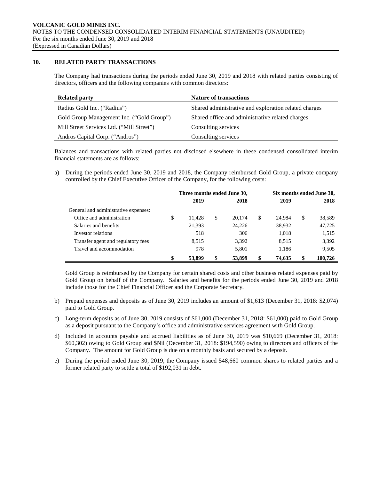# **10. RELATED PARTY TRANSACTIONS**

The Company had transactions during the periods ended June 30, 2019 and 2018 with related parties consisting of directors, officers and the following companies with common directors:

| <b>Related party</b>                      | <b>Nature of transactions</b>                         |
|-------------------------------------------|-------------------------------------------------------|
| Radius Gold Inc. ("Radius")               | Shared administrative and exploration related charges |
| Gold Group Management Inc. ("Gold Group") | Shared office and administrative related charges      |
| Mill Street Services Ltd. ("Mill Street") | Consulting services                                   |
| Andros Capital Corp. ("Andros")           | Consulting services                                   |

Balances and transactions with related parties not disclosed elsewhere in these condensed consolidated interim financial statements are as follows:

a) During the periods ended June 30, 2019 and 2018, the Company reimbursed Gold Group, a private company controlled by the Chief Executive Officer of the Company, for the following costs:

|                                      | Three months ended June 30, |    | Six months ended June 30, |   |        |    |         |
|--------------------------------------|-----------------------------|----|---------------------------|---|--------|----|---------|
|                                      | 2019                        |    | 2018                      |   | 2019   |    | 2018    |
| General and administrative expenses: |                             |    |                           |   |        |    |         |
| Office and administration            | \$<br>11.428                | \$ | 20,174                    | S | 24.984 | \$ | 38,589  |
| Salaries and benefits                | 21,393                      |    | 24,226                    |   | 38,932 |    | 47,725  |
| Investor relations                   | 518                         |    | 306                       |   | 1,018  |    | 1,515   |
| Transfer agent and regulatory fees   | 8,515                       |    | 3,392                     |   | 8,515  |    | 3,392   |
| Travel and accommodation             | 978                         |    | 5,801                     |   | 1,186  |    | 9,505   |
|                                      | 53,899                      |    | 53,899                    |   | 74.635 |    | 100,726 |

Gold Group is reimbursed by the Company for certain shared costs and other business related expenses paid by Gold Group on behalf of the Company. Salaries and benefits for the periods ended June 30, 2019 and 2018 include those for the Chief Financial Officer and the Corporate Secretary.

- b) Prepaid expenses and deposits as of June 30, 2019 includes an amount of \$1,613 (December 31, 2018: \$2,074) paid to Gold Group.
- c) Long-term deposits as of June 30, 2019 consists of \$61,000 (December 31, 2018: \$61,000) paid to Gold Group as a deposit pursuant to the Company's office and administrative services agreement with Gold Group.
- d) Included in accounts payable and accrued liabilities as of June 30, 2019 was \$10,669 (December 31, 2018: \$60,302) owing to Gold Group and \$Nil (December 31, 2018: \$194,590) owing to directors and officers of the Company. The amount for Gold Group is due on a monthly basis and secured by a deposit.
- e) During the period ended June 30, 2019, the Company issued 548,660 common shares to related parties and a former related party to settle a total of \$192,031 in debt.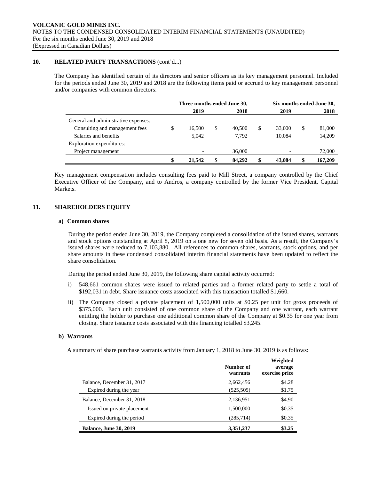# **10. RELATED PARTY TRANSACTIONS** (cont'd...)

The Company has identified certain of its directors and senior officers as its key management personnel. Included for the periods ended June 30, 2019 and 2018 are the following items paid or accrued to key management personnel and/or companies with common directors:

|                                      | Three months ended June 30, |        |   |        | Six months ended June 30, |        |   |         |
|--------------------------------------|-----------------------------|--------|---|--------|---------------------------|--------|---|---------|
|                                      |                             | 2019   |   | 2018   |                           | 2019   |   | 2018    |
| General and administrative expenses: |                             |        |   |        |                           |        |   |         |
| Consulting and management fees       | \$                          | 16.500 | S | 40,500 | S                         | 33,000 | S | 81,000  |
| Salaries and benefits                |                             | 5,042  |   | 7.792  |                           | 10,084 |   | 14,209  |
| Exploration expenditures:            |                             |        |   |        |                           |        |   |         |
| Project management                   |                             |        |   | 36,000 |                           |        |   | 72,000  |
|                                      | \$                          | 21,542 |   | 84,292 |                           | 43,084 |   | 167,209 |

Key management compensation includes consulting fees paid to Mill Street, a company controlled by the Chief Executive Officer of the Company, and to Andros, a company controlled by the former Vice President, Capital Markets.

# **11. SHAREHOLDERS EQUITY**

#### **a) Common shares**

During the period ended June 30, 2019, the Company completed a consolidation of the issued shares, warrants and stock options outstanding at April 8, 2019 on a one new for seven old basis. As a result, the Company's issued shares were reduced to 7,103,880. All references to common shares, warrants, stock options, and per share amounts in these condensed consolidated interim financial statements have been updated to reflect the share consolidation.

During the period ended June 30, 2019, the following share capital activity occurred:

- i) 548,661 common shares were issued to related parties and a former related party to settle a total of \$192,031 in debt. Share issuance costs associated with this transaction totalled \$1,660.
- ii) The Company closed a private placement of 1,500,000 units at \$0.25 per unit for gross proceeds of \$375,000. Each unit consisted of one common share of the Company and one warrant, each warrant entitling the holder to purchase one additional common share of the Company at \$0.35 for one year from closing. Share issuance costs associated with this financing totalled \$3,245.

#### **b) Warrants**

A summary of share purchase warrants activity from January 1, 2018 to June 30, 2019 is as follows:

|                               | Number of<br>warrants | Weighted<br>average<br>exercise price |
|-------------------------------|-----------------------|---------------------------------------|
| Balance, December 31, 2017    | 2,662,456             | \$4.28                                |
| Expired during the year       | (525, 505)            | \$1.75                                |
| Balance, December 31, 2018    | 2,136,951             | \$4.90                                |
| Issued on private placement   | 1,500,000             | \$0.35                                |
| Expired during the period     | (285,714)             | \$0.35                                |
| <b>Balance, June 30, 2019</b> | 3,351,237             | \$3.25                                |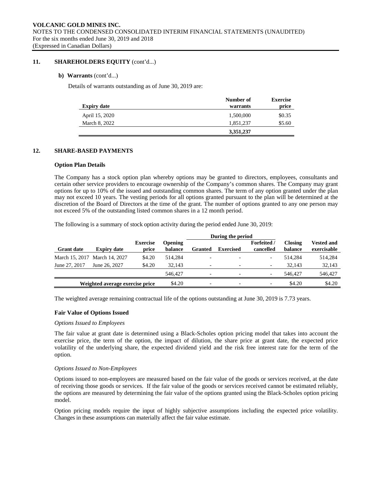### **11. SHAREHOLDERS EQUITY** (cont'd...)

#### **b) Warrants** (cont'd...)

Details of warrants outstanding as of June 30, 2019 are:

|                    | Number of | <b>Exercise</b> |
|--------------------|-----------|-----------------|
| <b>Expiry date</b> | warrants  | price           |
| April 15, 2020     | 1,500,000 | \$0.35          |
| March 8, 2022      | 1,851,237 | \$5.60          |
|                    | 3,351,237 |                 |

# **12. SHARE-BASED PAYMENTS**

#### **Option Plan Details**

The Company has a stock option plan whereby options may be granted to directors, employees, consultants and certain other service providers to encourage ownership of the Company's common shares. The Company may grant options for up to 10% of the issued and outstanding common shares. The term of any option granted under the plan may not exceed 10 years. The vesting periods for all options granted pursuant to the plan will be determined at the discretion of the Board of Directors at the time of the grant. The number of options granted to any one person may not exceed 5% of the outstanding listed common shares in a 12 month period.

The following is a summary of stock option activity during the period ended June 30, 2019:

|                   |                                 |                          |                           |                          | During the period        |                               |                           |                                  |
|-------------------|---------------------------------|--------------------------|---------------------------|--------------------------|--------------------------|-------------------------------|---------------------------|----------------------------------|
| <b>Grant date</b> | <b>Expiry date</b>              | <b>Exercise</b><br>price | <b>Opening</b><br>balance | <b>Granted</b>           | <b>Exercised</b>         | <b>Forfeited</b><br>cancelled | <b>Closing</b><br>balance | <b>Vested and</b><br>exercisable |
|                   | March 15, 2017 March 14, 2027   | \$4.20                   | 514.284                   | $\overline{\phantom{0}}$ | $\overline{\phantom{0}}$ | $\overline{\phantom{0}}$      | 514.284                   | 514,284                          |
| June 27, 2017     | June 26, 2027                   | \$4.20                   | 32.143                    |                          | $\overline{\phantom{a}}$ | $\overline{\phantom{a}}$      | 32.143                    | 32,143                           |
|                   |                                 |                          | 546,427                   | $\overline{\phantom{0}}$ | $\overline{\phantom{0}}$ | $\overline{\phantom{a}}$      | 546,427                   | 546,427                          |
|                   | Weighted average exercise price |                          | \$4.20                    | $\overline{\phantom{0}}$ | $\overline{\phantom{a}}$ | $\overline{\phantom{a}}$      | \$4.20                    | \$4.20                           |

The weighted average remaining contractual life of the options outstanding at June 30, 2019 is 7.73 years.

#### **Fair Value of Options Issued**

#### *Options Issued to Employees*

The fair value at grant date is determined using a Black-Scholes option pricing model that takes into account the exercise price, the term of the option, the impact of dilution, the share price at grant date, the expected price volatility of the underlying share, the expected dividend yield and the risk free interest rate for the term of the option.

#### *Options Issued to Non-Employees*

Options issued to non-employees are measured based on the fair value of the goods or services received, at the date of receiving those goods or services. If the fair value of the goods or services received cannot be estimated reliably, the options are measured by determining the fair value of the options granted using the Black-Scholes option pricing model.

Option pricing models require the input of highly subjective assumptions including the expected price volatility. Changes in these assumptions can materially affect the fair value estimate.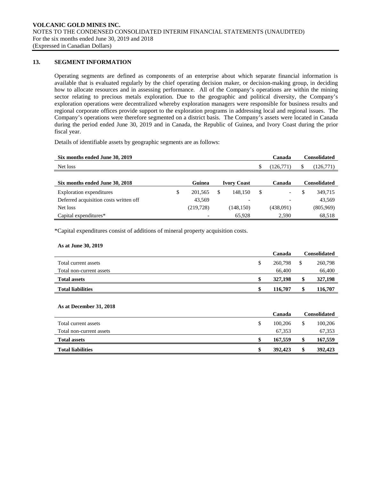# **13. SEGMENT INFORMATION**

Operating segments are defined as components of an enterprise about which separate financial information is available that is evaluated regularly by the chief operating decision maker, or decision-making group, in deciding how to allocate resources and in assessing performance. All of the Company's operations are within the mining sector relating to precious metals exploration. Due to the geographic and political diversity, the Company's exploration operations were decentralized whereby exploration managers were responsible for business results and regional corporate offices provide support to the exploration programs in addressing local and regional issues. The Company's operations were therefore segmented on a district basis. The Company's assets were located in Canada during the period ended June 30, 2019 and in Canada, the Republic of Guinea, and Ivory Coast during the prior fiscal year.

Details of identifiable assets by geographic segments are as follows:

| Six months ended June 30, 2019         |                          |                          | Canada          |    | <b>Consolidated</b> |
|----------------------------------------|--------------------------|--------------------------|-----------------|----|---------------------|
| Net loss                               |                          |                          | \$<br>(126,771) | S  | (126,771)           |
| Six months ended June 30, 2018         | Guinea                   | <b>Ivory Coast</b>       | Canada          |    | <b>Consolidated</b> |
| Exploration expenditures               | \$<br>201,565            | 148.150                  | \$              | \$ | 349,715             |
| Deferred acquisition costs written off | 43.569                   | $\overline{\phantom{0}}$ |                 |    | 43,569              |
| Net loss                               | (219, 728)               | (148, 150)               | (438,091)       |    | (805,969)           |
| Capital expenditures*                  | $\overline{\phantom{0}}$ | 65,928                   | 2,590           |    | 68,518              |

\*Capital expenditures consist of additions of mineral property acquisition costs.

#### **As at June 30, 2019**

|                          | Canada  | Consolidated |
|--------------------------|---------|--------------|
| Total current assets     | 260,798 | 260,798      |
| Total non-current assets | 66,400  | 66,400       |
| <b>Total assets</b>      | 327,198 | 327,198      |
| <b>Total liabilities</b> | 116,707 | 116,707      |
|                          |         |              |

#### **As at December 31, 2018**

|                          | Canada  | Consolidated |         |  |
|--------------------------|---------|--------------|---------|--|
| Total current assets     | 100.206 |              | 100,206 |  |
| Total non-current assets | 67.353  |              | 67,353  |  |
| <b>Total assets</b>      | 167,559 |              | 167,559 |  |
| <b>Total liabilities</b> | 392,423 |              | 392,423 |  |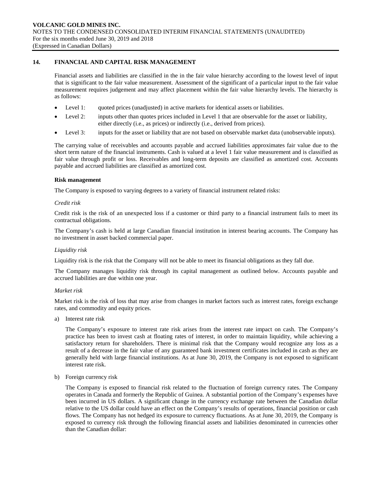# **14. FINANCIAL AND CAPITAL RISK MANAGEMENT**

Financial assets and liabilities are classified in the in the fair value hierarchy according to the lowest level of input that is significant to the fair value measurement. Assessment of the significant of a particular input to the fair value measurement requires judgement and may affect placement within the fair value hierarchy levels. The hierarchy is as follows:

- Level 1: quoted prices (unadjusted) in active markets for identical assets or liabilities.
- Level 2: inputs other than quotes prices included in Level 1 that are observable for the asset or liability, either directly (i.e., as prices) or indirectly (i.e., derived from prices).
- Level 3: inputs for the asset or liability that are not based on observable market data (unobservable inputs).

The carrying value of receivables and accounts payable and accrued liabilities approximates fair value due to the short term nature of the financial instruments. Cash is valued at a level 1 fair value measurement and is classified as fair value through profit or loss. Receivables and long-term deposits are classified as amortized cost. Accounts payable and accrued liabilities are classified as amortized cost.

#### **Risk management**

The Company is exposed to varying degrees to a variety of financial instrument related risks:

#### *Credit risk*

Credit risk is the risk of an unexpected loss if a customer or third party to a financial instrument fails to meet its contractual obligations.

The Company's cash is held at large Canadian financial institution in interest bearing accounts. The Company has no investment in asset backed commercial paper.

#### *Liquidity risk*

Liquidity risk is the risk that the Company will not be able to meet its financial obligations as they fall due.

The Company manages liquidity risk through its capital management as outlined below. Accounts payable and accrued liabilities are due within one year.

#### *Market risk*

Market risk is the risk of loss that may arise from changes in market factors such as interest rates, foreign exchange rates, and commodity and equity prices.

a) Interest rate risk

The Company's exposure to interest rate risk arises from the interest rate impact on cash. The Company's practice has been to invest cash at floating rates of interest, in order to maintain liquidity, while achieving a satisfactory return for shareholders. There is minimal risk that the Company would recognize any loss as a result of a decrease in the fair value of any guaranteed bank investment certificates included in cash as they are generally held with large financial institutions. As at June 30, 2019, the Company is not exposed to significant interest rate risk.

b) Foreign currency risk

The Company is exposed to financial risk related to the fluctuation of foreign currency rates. The Company operates in Canada and formerly the Republic of Guinea. A substantial portion of the Company's expenses have been incurred in US dollars. A significant change in the currency exchange rate between the Canadian dollar relative to the US dollar could have an effect on the Company's results of operations, financial position or cash flows. The Company has not hedged its exposure to currency fluctuations. As at June 30, 2019, the Company is exposed to currency risk through the following financial assets and liabilities denominated in currencies other than the Canadian dollar: